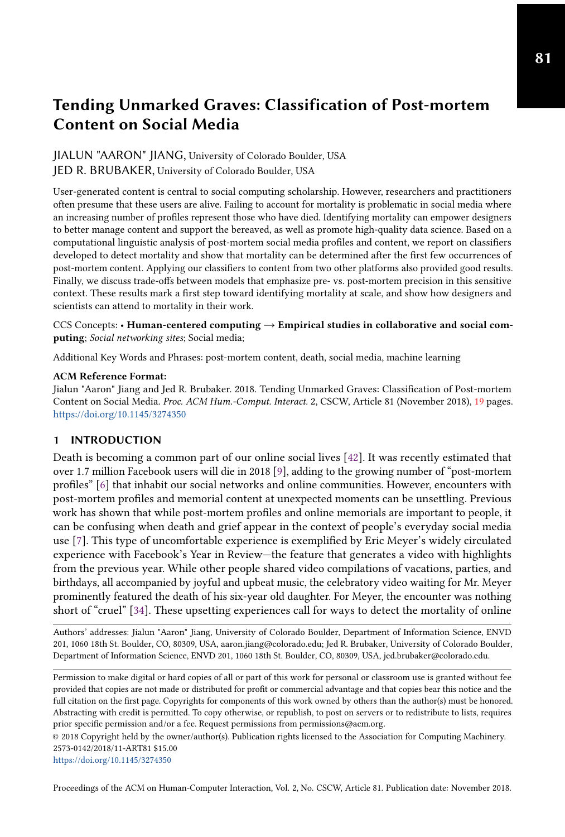# Tending Unmarked Graves: Classification of Post-mortem Content on Social Media

JIALUN "AARON" JIANG, University of Colorado Boulder, USA JED R. BRUBAKER, University of Colorado Boulder, USA

User-generated content is central to social computing scholarship. However, researchers and practitioners often presume that these users are alive. Failing to account for mortality is problematic in social media where an increasing number of profiles represent those who have died. Identifying mortality can empower designers to better manage content and support the bereaved, as well as promote high-quality data science. Based on a computational linguistic analysis of post-mortem social media profiles and content, we report on classifiers developed to detect mortality and show that mortality can be determined after the first few occurrences of post-mortem content. Applying our classifiers to content from two other platforms also provided good results. Finally, we discuss trade-offs between models that emphasize pre- vs. post-mortem precision in this sensitive context. These results mark a first step toward identifying mortality at scale, and show how designers and scientists can attend to mortality in their work.

CCS Concepts: • Human-centered computing  $\rightarrow$  Empirical studies in collaborative and social computing; Social networking sites; Social media;

Additional Key Words and Phrases: post-mortem content, death, social media, machine learning

#### ACM Reference Format:

Jialun "Aaron" Jiang and Jed R. Brubaker. 2018. Tending Unmarked Graves: Classification of Post-mortem Content on Social Media. Proc. ACM Hum.-Comput. Interact. 2, CSCW, Article 81 (November 2018), [19](#page-18-0) pages. <https://doi.org/10.1145/3274350>

## 1 INTRODUCTION

Death is becoming a common part of our online social lives [\[42\]](#page-17-0). It was recently estimated that over 1.7 million Facebook users will die in 2018 [\[9\]](#page-16-0), adding to the growing number of "post-mortem profiles" [\[6\]](#page-16-1) that inhabit our social networks and online communities. However, encounters with post-mortem profiles and memorial content at unexpected moments can be unsettling. Previous work has shown that while post-mortem profiles and online memorials are important to people, it can be confusing when death and grief appear in the context of people's everyday social media use [\[7\]](#page-16-2). This type of uncomfortable experience is exemplified by Eric Meyer's widely circulated experience with Facebook's Year in Review—the feature that generates a video with highlights from the previous year. While other people shared video compilations of vacations, parties, and birthdays, all accompanied by joyful and upbeat music, the celebratory video waiting for Mr. Meyer prominently featured the death of his six-year old daughter. For Meyer, the encounter was nothing short of "cruel" [\[34\]](#page-17-1). These upsetting experiences call for ways to detect the mortality of online

Authors' addresses: Jialun "Aaron" Jiang, University of Colorado Boulder, Department of Information Science, ENVD 201, 1060 18th St. Boulder, CO, 80309, USA, aaron.jiang@colorado.edu; Jed R. Brubaker, University of Colorado Boulder, Department of Information Science, ENVD 201, 1060 18th St. Boulder, CO, 80309, USA, jed.brubaker@colorado.edu.

Permission to make digital or hard copies of all or part of this work for personal or classroom use is granted without fee provided that copies are not made or distributed for profit or commercial advantage and that copies bear this notice and the full citation on the first page. Copyrights for components of this work owned by others than the author(s) must be honored. Abstracting with credit is permitted. To copy otherwise, or republish, to post on servers or to redistribute to lists, requires prior specific permission and/or a fee. Request permissions from permissions@acm.org.

© 2018 Copyright held by the owner/author(s). Publication rights licensed to the Association for Computing Machinery. 2573-0142/2018/11-ART81 \$15.00

<https://doi.org/10.1145/3274350>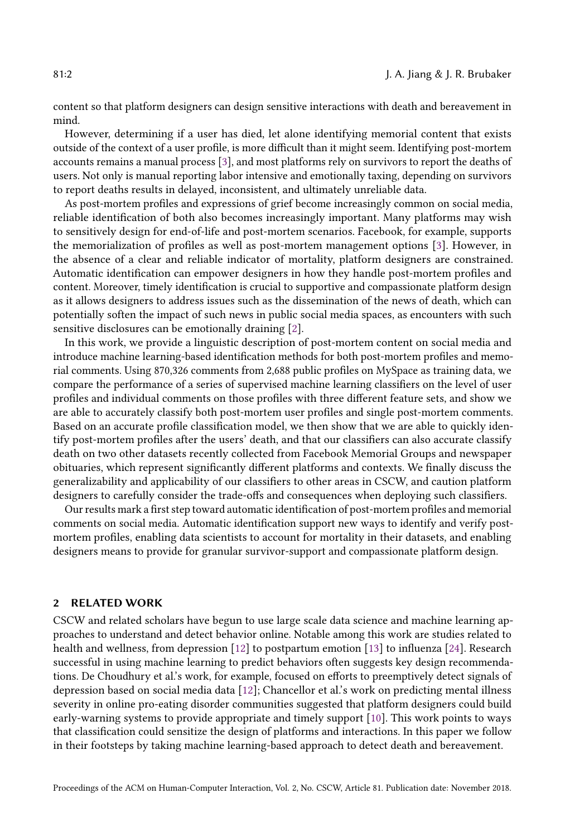content so that platform designers can design sensitive interactions with death and bereavement in mind.

However, determining if a user has died, let alone identifying memorial content that exists outside of the context of a user profile, is more difficult than it might seem. Identifying post-mortem accounts remains a manual process [\[3\]](#page-16-3), and most platforms rely on survivors to report the deaths of users. Not only is manual reporting labor intensive and emotionally taxing, depending on survivors to report deaths results in delayed, inconsistent, and ultimately unreliable data.

As post-mortem profiles and expressions of grief become increasingly common on social media, reliable identification of both also becomes increasingly important. Many platforms may wish to sensitively design for end-of-life and post-mortem scenarios. Facebook, for example, supports the memorialization of profiles as well as post-mortem management options [\[3\]](#page-16-3). However, in the absence of a clear and reliable indicator of mortality, platform designers are constrained. Automatic identification can empower designers in how they handle post-mortem profiles and content. Moreover, timely identification is crucial to supportive and compassionate platform design as it allows designers to address issues such as the dissemination of the news of death, which can potentially soften the impact of such news in public social media spaces, as encounters with such sensitive disclosures can be emotionally draining [\[2\]](#page-16-4).

In this work, we provide a linguistic description of post-mortem content on social media and introduce machine learning-based identification methods for both post-mortem profiles and memorial comments. Using 870,326 comments from 2,688 public profiles on MySpace as training data, we compare the performance of a series of supervised machine learning classifiers on the level of user profiles and individual comments on those profiles with three different feature sets, and show we are able to accurately classify both post-mortem user profiles and single post-mortem comments. Based on an accurate profile classification model, we then show that we are able to quickly identify post-mortem profiles after the users' death, and that our classifiers can also accurate classify death on two other datasets recently collected from Facebook Memorial Groups and newspaper obituaries, which represent significantly different platforms and contexts. We finally discuss the generalizability and applicability of our classifiers to other areas in CSCW, and caution platform designers to carefully consider the trade-offs and consequences when deploying such classifiers.

Our results mark a first step toward automatic identification of post-mortem profiles and memorial comments on social media. Automatic identification support new ways to identify and verify postmortem profiles, enabling data scientists to account for mortality in their datasets, and enabling designers means to provide for granular survivor-support and compassionate platform design.

#### 2 RELATED WORK

CSCW and related scholars have begun to use large scale data science and machine learning approaches to understand and detect behavior online. Notable among this work are studies related to health and wellness, from depression [\[12\]](#page-16-5) to postpartum emotion [\[13\]](#page-16-6) to influenza [\[24\]](#page-17-2). Research successful in using machine learning to predict behaviors often suggests key design recommendations. De Choudhury et al.'s work, for example, focused on efforts to preemptively detect signals of depression based on social media data [\[12\]](#page-16-5); Chancellor et al.'s work on predicting mental illness severity in online pro-eating disorder communities suggested that platform designers could build early-warning systems to provide appropriate and timely support [\[10\]](#page-16-7). This work points to ways that classification could sensitize the design of platforms and interactions. In this paper we follow in their footsteps by taking machine learning-based approach to detect death and bereavement.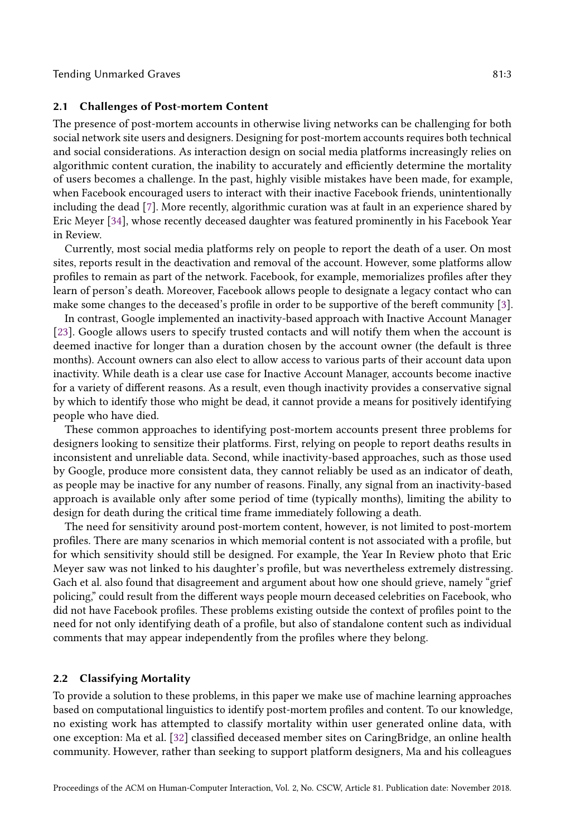## 2.1 Challenges of Post-mortem Content

The presence of post-mortem accounts in otherwise living networks can be challenging for both social network site users and designers. Designing for post-mortem accounts requires both technical and social considerations. As interaction design on social media platforms increasingly relies on algorithmic content curation, the inability to accurately and efficiently determine the mortality of users becomes a challenge. In the past, highly visible mistakes have been made, for example, when Facebook encouraged users to interact with their inactive Facebook friends, unintentionally including the dead [\[7\]](#page-16-2). More recently, algorithmic curation was at fault in an experience shared by Eric Meyer [\[34\]](#page-17-1), whose recently deceased daughter was featured prominently in his Facebook Year in Review.

Currently, most social media platforms rely on people to report the death of a user. On most sites, reports result in the deactivation and removal of the account. However, some platforms allow profiles to remain as part of the network. Facebook, for example, memorializes profiles after they learn of person's death. Moreover, Facebook allows people to designate a legacy contact who can make some changes to the deceased's profile in order to be supportive of the bereft community [\[3\]](#page-16-3).

In contrast, Google implemented an inactivity-based approach with Inactive Account Manager [\[23\]](#page-17-3). Google allows users to specify trusted contacts and will notify them when the account is deemed inactive for longer than a duration chosen by the account owner (the default is three months). Account owners can also elect to allow access to various parts of their account data upon inactivity. While death is a clear use case for Inactive Account Manager, accounts become inactive for a variety of different reasons. As a result, even though inactivity provides a conservative signal by which to identify those who might be dead, it cannot provide a means for positively identifying people who have died.

These common approaches to identifying post-mortem accounts present three problems for designers looking to sensitize their platforms. First, relying on people to report deaths results in inconsistent and unreliable data. Second, while inactivity-based approaches, such as those used by Google, produce more consistent data, they cannot reliably be used as an indicator of death, as people may be inactive for any number of reasons. Finally, any signal from an inactivity-based approach is available only after some period of time (typically months), limiting the ability to design for death during the critical time frame immediately following a death.

The need for sensitivity around post-mortem content, however, is not limited to post-mortem profiles. There are many scenarios in which memorial content is not associated with a profile, but for which sensitivity should still be designed. For example, the Year In Review photo that Eric Meyer saw was not linked to his daughter's profile, but was nevertheless extremely distressing. Gach et al. also found that disagreement and argument about how one should grieve, namely "grief policing," could result from the different ways people mourn deceased celebrities on Facebook, who did not have Facebook profiles. These problems existing outside the context of profiles point to the need for not only identifying death of a profile, but also of standalone content such as individual comments that may appear independently from the profiles where they belong.

## 2.2 Classifying Mortality

To provide a solution to these problems, in this paper we make use of machine learning approaches based on computational linguistics to identify post-mortem profiles and content. To our knowledge, no existing work has attempted to classify mortality within user generated online data, with one exception: Ma et al. [\[32\]](#page-17-4) classified deceased member sites on CaringBridge, an online health community. However, rather than seeking to support platform designers, Ma and his colleagues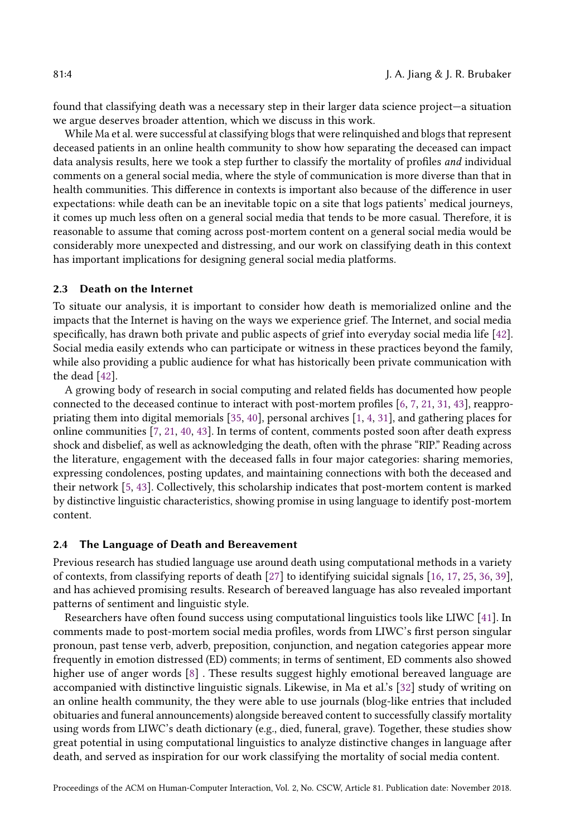found that classifying death was a necessary step in their larger data science project—a situation we argue deserves broader attention, which we discuss in this work.

While Ma et al. were successful at classifying blogs that were relinquished and blogs that represent deceased patients in an online health community to show how separating the deceased can impact data analysis results, here we took a step further to classify the mortality of profiles and individual comments on a general social media, where the style of communication is more diverse than that in health communities. This difference in contexts is important also because of the difference in user expectations: while death can be an inevitable topic on a site that logs patients' medical journeys, it comes up much less often on a general social media that tends to be more casual. Therefore, it is reasonable to assume that coming across post-mortem content on a general social media would be considerably more unexpected and distressing, and our work on classifying death in this context has important implications for designing general social media platforms.

#### 2.3 Death on the Internet

To situate our analysis, it is important to consider how death is memorialized online and the impacts that the Internet is having on the ways we experience grief. The Internet, and social media specifically, has drawn both private and public aspects of grief into everyday social media life [\[42\]](#page-17-0). Social media easily extends who can participate or witness in these practices beyond the family, while also providing a public audience for what has historically been private communication with the dead [\[42\]](#page-17-0).

A growing body of research in social computing and related fields has documented how people connected to the deceased continue to interact with post-mortem profiles [\[6,](#page-16-1) [7,](#page-16-2) [21,](#page-17-5) [31,](#page-17-6) [43\]](#page-18-1), reappropriating them into digital memorials [\[35,](#page-17-7) [40\]](#page-17-8), personal archives [\[1,](#page-16-8) [4,](#page-16-9) [31\]](#page-17-6), and gathering places for online communities [\[7,](#page-16-2) [21,](#page-17-5) [40,](#page-17-8) [43\]](#page-18-1). In terms of content, comments posted soon after death express shock and disbelief, as well as acknowledging the death, often with the phrase "RIP." Reading across the literature, engagement with the deceased falls in four major categories: sharing memories, expressing condolences, posting updates, and maintaining connections with both the deceased and their network [\[5,](#page-16-10) [43\]](#page-18-1). Collectively, this scholarship indicates that post-mortem content is marked by distinctive linguistic characteristics, showing promise in using language to identify post-mortem content.

#### 2.4 The Language of Death and Bereavement

Previous research has studied language use around death using computational methods in a variety of contexts, from classifying reports of death [\[27\]](#page-17-9) to identifying suicidal signals [\[16,](#page-16-11) [17,](#page-16-12) [25,](#page-17-10) [36,](#page-17-11) [39\]](#page-17-12), and has achieved promising results. Research of bereaved language has also revealed important patterns of sentiment and linguistic style.

Researchers have often found success using computational linguistics tools like LIWC [\[41\]](#page-17-13). In comments made to post-mortem social media profiles, words from LIWC's first person singular pronoun, past tense verb, adverb, preposition, conjunction, and negation categories appear more frequently in emotion distressed (ED) comments; in terms of sentiment, ED comments also showed higher use of anger words [\[8\]](#page-16-13). These results suggest highly emotional bereaved language are accompanied with distinctive linguistic signals. Likewise, in Ma et al.'s [\[32\]](#page-17-4) study of writing on an online health community, the they were able to use journals (blog-like entries that included obituaries and funeral announcements) alongside bereaved content to successfully classify mortality using words from LIWC's death dictionary (e.g., died, funeral, grave). Together, these studies show great potential in using computational linguistics to analyze distinctive changes in language after death, and served as inspiration for our work classifying the mortality of social media content.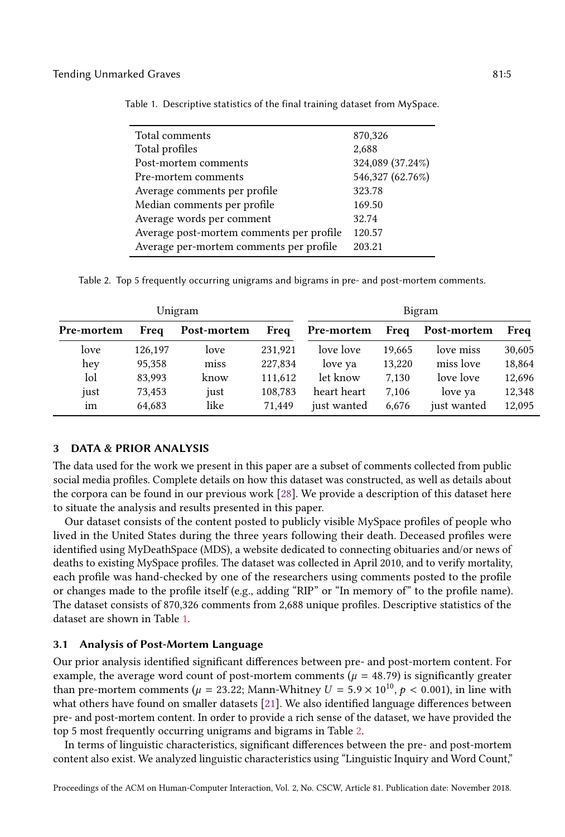| Total comments                           | 870,326          |
|------------------------------------------|------------------|
| Total profiles                           | 2,688            |
| Post-mortem comments                     | 324,089 (37.24%) |
| Pre-mortem comments                      | 546,327 (62.76%) |
| Average comments per profile             | 323.78           |
| Median comments per profile              | 169.50           |
| Average words per comment                | 32.74            |
| Average post-mortem comments per profile | 120.57           |
| Average per-mortem comments per profile  | 203.21           |
|                                          |                  |

<span id="page-4-0"></span>Table 1. Descriptive statistics of the final training dataset from MySpace.

<span id="page-4-1"></span>Table 2. Top 5 frequently occurring unigrams and bigrams in pre- and post-mortem comments.

| Unigram    |         |             |         | Bigram      |        |             |        |
|------------|---------|-------------|---------|-------------|--------|-------------|--------|
| Pre-mortem | Frea    | Post-mortem | Freq    | Pre-mortem  | Freq   | Post-mortem | Freq   |
| love       | 126.197 | love        | 231.921 | love love   | 19.665 | love miss   | 30,605 |
| hey        | 95.358  | miss        | 227,834 | love ya     | 13,220 | miss love   | 18,864 |
| lol        | 83.993  | know        | 111.612 | let know    | 7.130  | love love   | 12,696 |
| just       | 73.453  | just        | 108,783 | heart heart | 7.106  | love ya     | 12,348 |
| im         | 64,683  | like        | 71.449  | just wanted | 6.676  | just wanted | 12,095 |

#### 3 DATA & PRIOR ANALYSIS

The data used for the work we present in this paper are a subset of comments collected from public social media profiles. Complete details on how this dataset was constructed, as well as details about the corpora can be found in our previous work [\[28\]](#page-17-14). We provide a description of this dataset here to situate the analysis and results presented in this paper.

Our dataset consists of the content posted to publicly visible MySpace profiles of people who lived in the United States during the three years following their death. Deceased profiles were identified using MyDeathSpace (MDS), a website dedicated to connecting obituaries and/or news of deaths to existing MySpace profiles. The dataset was collected in April 2010, and to verify mortality, each profile was hand-checked by one of the researchers using comments posted to the profile or changes made to the profile itself (e.g., adding "RIP" or "In memory of" to the profile name). The dataset consists of 870,326 comments from 2,688 unique profiles. Descriptive statistics of the dataset are shown in Table [1.](#page-4-0)

## 3.1 Analysis of Post-Mortem Language

Our prior analysis identified significant differences between pre- and post-mortem content. For example, the average word count of post-mortem comments ( $\mu$  = 48.79) is significantly greater than pre-mortem comments ( $\mu = 23.22$ ; Mann-Whitney  $U = 5.9 \times 10^{10}$ ,  $p < 0.001$ ), in line with what others have found on smaller datasets [21]. We also identified language differences between what others have found on smaller datasets [\[21\]](#page-17-5). We also identified language differences between pre- and post-mortem content. In order to provide a rich sense of the dataset, we have provided the top 5 most frequently occurring unigrams and bigrams in Table [2.](#page-4-1)

In terms of linguistic characteristics, significant differences between the pre- and post-mortem content also exist. We analyzed linguistic characteristics using "Linguistic Inquiry and Word Count,"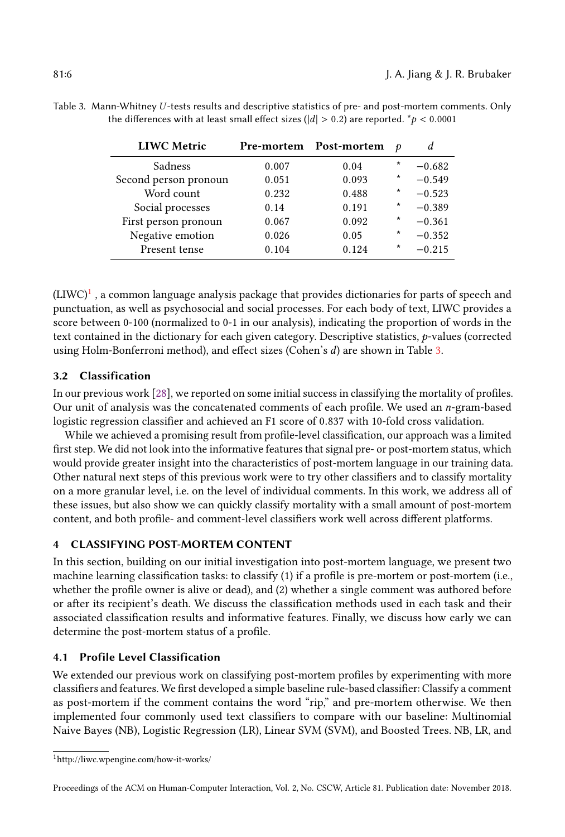| Pre-mortem | Post-mortem | $\mathcal{D}$ | d        |
|------------|-------------|---------------|----------|
| 0.007      | 0.04        | $\star$       | $-0.682$ |
| 0.051      | 0.093       | $\star$       | $-0.549$ |
| 0.232      | 0.488       | $\star$       | $-0.523$ |
| 0.14       | 0.191       | $\star$       | $-0.389$ |
| 0.067      | 0.092       | $\star$       | $-0.361$ |
| 0.026      | 0.05        | $\star$       | $-0.352$ |
| 0.104      | 0.124       | $\star$       | $-0.215$ |
|            |             |               |          |

<span id="page-5-1"></span>Table 3. Mann-Whitney U -tests results and descriptive statistics of pre- and post-mortem comments. Only the differences with at least small effect sizes ( $|d| > 0.2$ ) are reported.  $p < 0.0001$ 

 $(LIWC)^1$  $(LIWC)^1$  , a common language analysis package that provides dictionaries for parts of speech and punctuation, as well as psychosocial and social processes. For each body of text, LIWC provides a score between 0-100 (normalized to 0-1 in our analysis), indicating the proportion of words in the text contained in the dictionary for each given category. Descriptive statistics, p-values (corrected using Holm-Bonferroni method), and effect sizes (Cohen's d) are shown in Table [3.](#page-5-1)

# 3.2 Classification

In our previous work [\[28\]](#page-17-14), we reported on some initial success in classifying the mortality of profiles. Our unit of analysis was the concatenated comments of each profile. We used an  $n$ -gram-based logistic regression classifier and achieved an F1 score of <sup>0</sup>.<sup>837</sup> with 10-fold cross validation.

While we achieved a promising result from profile-level classification, our approach was a limited first step. We did not look into the informative features that signal pre- or post-mortem status, which would provide greater insight into the characteristics of post-mortem language in our training data. Other natural next steps of this previous work were to try other classifiers and to classify mortality on a more granular level, i.e. on the level of individual comments. In this work, we address all of these issues, but also show we can quickly classify mortality with a small amount of post-mortem content, and both profile- and comment-level classifiers work well across different platforms.

# 4 CLASSIFYING POST-MORTEM CONTENT

In this section, building on our initial investigation into post-mortem language, we present two machine learning classification tasks: to classify (1) if a profile is pre-mortem or post-mortem (i.e., whether the profile owner is alive or dead), and (2) whether a single comment was authored before or after its recipient's death. We discuss the classification methods used in each task and their associated classification results and informative features. Finally, we discuss how early we can determine the post-mortem status of a profile.

# <span id="page-5-2"></span>4.1 Profile Level Classification

We extended our previous work on classifying post-mortem profiles by experimenting with more classifiers and features. We first developed a simple baseline rule-based classifier: Classify a comment as post-mortem if the comment contains the word "rip," and pre-mortem otherwise. We then implemented four commonly used text classifiers to compare with our baseline: Multinomial Naive Bayes (NB), Logistic Regression (LR), Linear SVM (SVM), and Boosted Trees. NB, LR, and

<span id="page-5-0"></span><sup>1</sup>http://liwc.wpengine.com/how-it-works/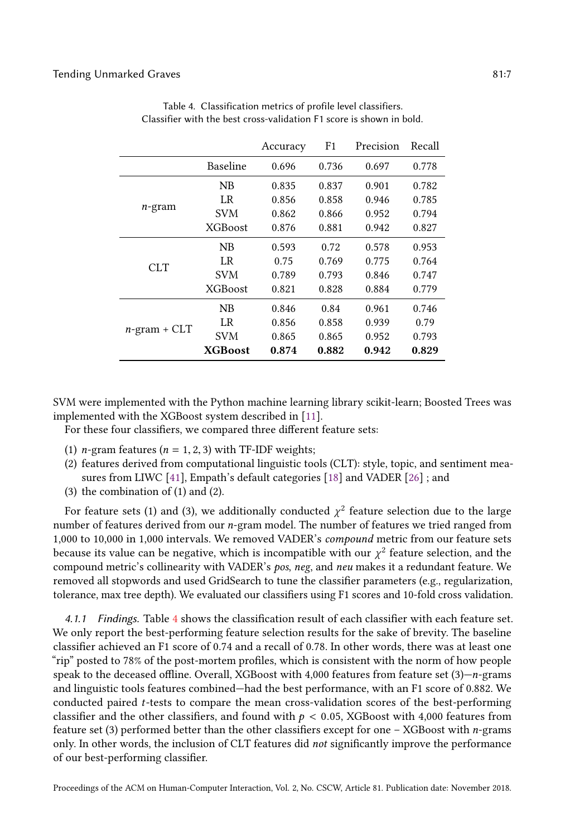<span id="page-6-0"></span>

|                 |                | Accuracy | F <sub>1</sub> | Precision | Recall |
|-----------------|----------------|----------|----------------|-----------|--------|
|                 | Baseline       | 0.696    | 0.736          | 0.697     | 0.778  |
|                 | NB             | 0.835    | 0.837          | 0.901     | 0.782  |
|                 | LR             | 0.856    | 0.858          | 0.946     | 0.785  |
| $n$ -gram       | <b>SVM</b>     | 0.862    | 0.866          | 0.952     | 0.794  |
|                 | <b>XGBoost</b> | 0.876    | 0.881          | 0.942     | 0.827  |
|                 | NB             | 0.593    | 0.72           | 0.578     | 0.953  |
| CLT             | LR             | 0.75     | 0.769          | 0.775     | 0.764  |
|                 | <b>SVM</b>     | 0.789    | 0.793          | 0.846     | 0.747  |
|                 | <b>XGBoost</b> | 0.821    | 0.828          | 0.884     | 0.779  |
| $n$ -gram + CLT | NB             | 0.846    | 0.84           | 0.961     | 0.746  |
|                 | LR             | 0.856    | 0.858          | 0.939     | 0.79   |
|                 | <b>SVM</b>     | 0.865    | 0.865          | 0.952     | 0.793  |
|                 | <b>XGBoost</b> | 0.874    | 0.882          | 0.942     | 0.829  |

Table 4. Classification metrics of profile level classifiers. Classifier with the best cross-validation F1 score is shown in bold.

SVM were implemented with the Python machine learning library scikit-learn; Boosted Trees was implemented with the XGBoost system described in [\[11\]](#page-16-14).

For these four classifiers, we compared three different feature sets:

- (1) *n*-gram features ( $n = 1, 2, 3$ ) with TF-IDF weights;
- (2) features derived from computational linguistic tools (CLT): style, topic, and sentiment measures from LIWC [\[41\]](#page-17-13), Empath's default categories [\[18\]](#page-16-15) and VADER [\[26\]](#page-17-15) ; and
- (3) the combination of (1) and (2).

For feature sets (1) and (3), we additionally conducted  $\chi^2$  feature selection due to the large number of features derived from our n-gram model. The number of features we tried ranged from 1,000 to 10,000 in 1,000 intervals. We removed VADER's compound metric from our feature sets because its value can be negative, which is incompatible with our  $\chi^2$  feature selection, and the compound metric's collinearity with VADER's pos, neg, and neu makes it a redundant feature. We removed all stopwords and used GridSearch to tune the classifier parameters (e.g., regularization, tolerance, max tree depth). We evaluated our classifiers using F1 scores and 10-fold cross validation.

4.1.1 Findings. Table [4](#page-6-0) shows the classification result of each classifier with each feature set. We only report the best-performing feature selection results for the sake of brevity. The baseline classifier achieved an F1 score of 0.74 and a recall of 0.78. In other words, there was at least one "rip" posted to 78% of the post-mortem profiles, which is consistent with the norm of how people speak to the deceased offline. Overall, XGBoost with 4,000 features from feature set  $(3)-n$ -grams and linguistic tools features combined—had the best performance, with an F1 score of 0.882. We conducted paired t-tests to compare the mean cross-validation scores of the best-performing classifier and the other classifiers, and found with  $p < 0.05$ , XGBoost with 4,000 features from feature set (3) performed better than the other classifiers except for one  $-$  XGBoost with *n*-grams only. In other words, the inclusion of CLT features did not significantly improve the performance of our best-performing classifier.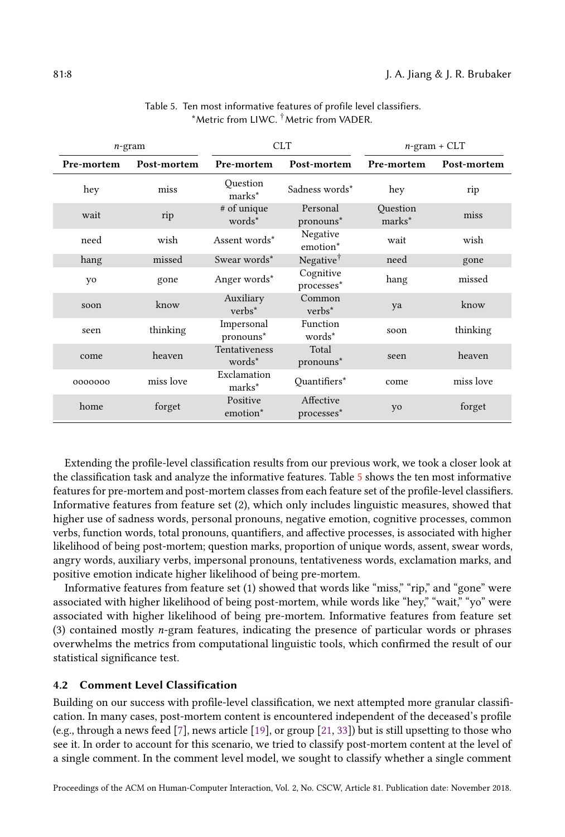<span id="page-7-0"></span>

|            | $n$ -gram   | <b>CLT</b>                          |                                     |                    | $n$ -gram + CLT |
|------------|-------------|-------------------------------------|-------------------------------------|--------------------|-----------------|
| Pre-mortem | Post-mortem | Pre-mortem                          | Post-mortem                         |                    | Post-mortem     |
| hey        | miss        | Question<br>marks*                  | Sadness words*                      | hey                | rip             |
| wait       | rip         | # of unique<br>words*               | Personal<br>pronouns <sup>*</sup>   | Question<br>marks* | miss            |
| need       | wish        | Assent words*                       | Negative<br>emotion*                | wait               | wish            |
| hang       | missed      | Swear words*                        | Negative <sup>†</sup>               | need               | gone            |
| yo         | gone        | Anger words*                        | Cognitive<br>processes*             | hang               | missed          |
| soon       | know        | Auxiliary<br>verbs <sup>*</sup>     | Common<br>verbs*                    | ya                 | know            |
| seen       | thinking    | Impersonal<br>pronouns*             | Function<br>words*                  | soon               | thinking        |
| come       | heaven      | Tentativeness<br>words <sup>*</sup> | Total<br>pronouns*                  | seen               | heaven          |
| 0000000    | miss love   | Exclamation<br>marks*               | Quantifiers*                        | come               | miss love       |
| home       | forget      | Positive<br>emotion*                | Affective<br>processes <sup>*</sup> | yo                 | forget          |

| Table 5. Ten most informative features of profile level classifiers. |
|----------------------------------------------------------------------|
| *Metric from LIWC. <sup>†</sup> Metric from VADER.                   |

Extending the profile-level classification results from our previous work, we took a closer look at the classification task and analyze the informative features. Table [5](#page-7-0) shows the ten most informative features for pre-mortem and post-mortem classes from each feature set of the profile-level classifiers. Informative features from feature set (2), which only includes linguistic measures, showed that higher use of sadness words, personal pronouns, negative emotion, cognitive processes, common verbs, function words, total pronouns, quantifiers, and affective processes, is associated with higher likelihood of being post-mortem; question marks, proportion of unique words, assent, swear words, angry words, auxiliary verbs, impersonal pronouns, tentativeness words, exclamation marks, and positive emotion indicate higher likelihood of being pre-mortem.

Informative features from feature set (1) showed that words like "miss," "rip," and "gone" were associated with higher likelihood of being post-mortem, while words like "hey," "wait," "yo" were associated with higher likelihood of being pre-mortem. Informative features from feature set (3) contained mostly n-gram features, indicating the presence of particular words or phrases overwhelms the metrics from computational linguistic tools, which confirmed the result of our statistical significance test.

## 4.2 Comment Level Classification

Building on our success with profile-level classification, we next attempted more granular classification. In many cases, post-mortem content is encountered independent of the deceased's profile (e.g., through a news feed [\[7\]](#page-16-2), news article [\[19\]](#page-16-16), or group [\[21,](#page-17-5) [33\]](#page-17-16)) but is still upsetting to those who see it. In order to account for this scenario, we tried to classify post-mortem content at the level of a single comment. In the comment level model, we sought to classify whether a single comment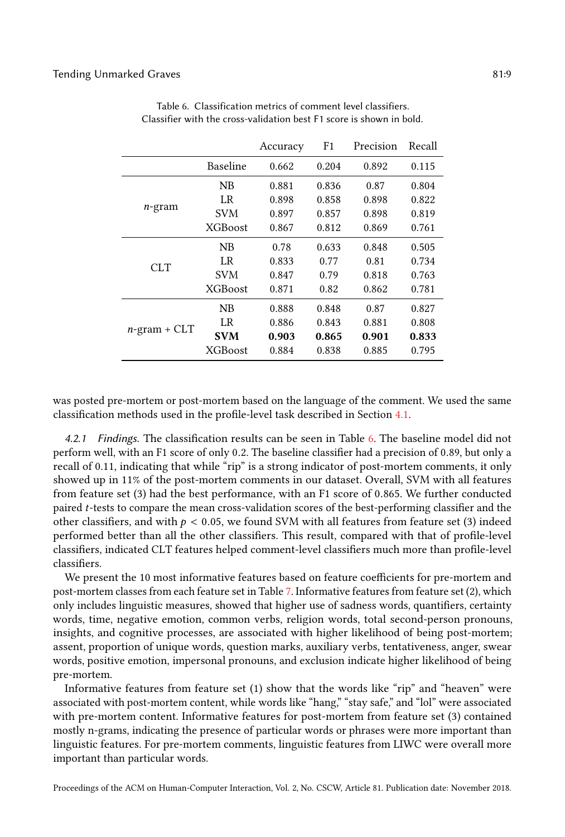<span id="page-8-0"></span>

|                 |                | Accuracy | F <sub>1</sub> | Precision | Recall |
|-----------------|----------------|----------|----------------|-----------|--------|
|                 | Baseline       | 0.662    | 0.204          | 0.892     | 0.115  |
|                 | NB             | 0.881    | 0.836          | 0.87      | 0.804  |
|                 | LR             | 0.898    | 0.858          | 0.898     | 0.822  |
| <i>n</i> -gram  | <b>SVM</b>     | 0.897    | 0.857          | 0.898     | 0.819  |
|                 | <b>XGBoost</b> | 0.867    | 0.812          | 0.869     | 0.761  |
|                 | NB             | 0.78     | 0.633          | 0.848     | 0.505  |
| <b>CLT</b>      | LR             | 0.833    | 0.77           | 0.81      | 0.734  |
|                 | <b>SVM</b>     | 0.847    | 0.79           | 0.818     | 0.763  |
|                 | <b>XGBoost</b> | 0.871    | 0.82           | 0.862     | 0.781  |
| $n$ -gram + CLT | NB             | 0.888    | 0.848          | 0.87      | 0.827  |
|                 | LR             | 0.886    | 0.843          | 0.881     | 0.808  |
|                 | <b>SVM</b>     | 0.903    | 0.865          | 0.901     | 0.833  |
|                 | <b>XGBoost</b> | 0.884    | 0.838          | 0.885     | 0.795  |

Table 6. Classification metrics of comment level classifiers. Classifier with the cross-validation best F1 score is shown in bold.

was posted pre-mortem or post-mortem based on the language of the comment. We used the same classification methods used in the profile-level task described in Section [4.1.](#page-5-2)

4.2.1 Findings. The classification results can be seen in Table [6.](#page-8-0) The baseline model did not perform well, with an F1 score of only <sup>0</sup>.2. The baseline classifier had a precision of <sup>0</sup>.89, but only a recall of 0.11, indicating that while "rip" is a strong indicator of post-mortem comments, it only showed up in 11% of the post-mortem comments in our dataset. Overall, SVM with all features from feature set (3) had the best performance, with an F1 score of <sup>0</sup>.865. We further conducted paired t-tests to compare the mean cross-validation scores of the best-performing classifier and the other classifiers, and with  $p < 0.05$ , we found SVM with all features from feature set (3) indeed performed better than all the other classifiers. This result, compared with that of profile-level classifiers, indicated CLT features helped comment-level classifiers much more than profile-level classifiers.

We present the 10 most informative features based on feature coefficients for pre-mortem and post-mortem classes from each feature set in Table [7.](#page-9-0) Informative features from feature set (2), which only includes linguistic measures, showed that higher use of sadness words, quantifiers, certainty words, time, negative emotion, common verbs, religion words, total second-person pronouns, insights, and cognitive processes, are associated with higher likelihood of being post-mortem; assent, proportion of unique words, question marks, auxiliary verbs, tentativeness, anger, swear words, positive emotion, impersonal pronouns, and exclusion indicate higher likelihood of being pre-mortem.

Informative features from feature set (1) show that the words like "rip" and "heaven" were associated with post-mortem content, while words like "hang," "stay safe," and "lol" were associated with pre-mortem content. Informative features for post-mortem from feature set (3) contained mostly n-grams, indicating the presence of particular words or phrases were more important than linguistic features. For pre-mortem comments, linguistic features from LIWC were overall more important than particular words.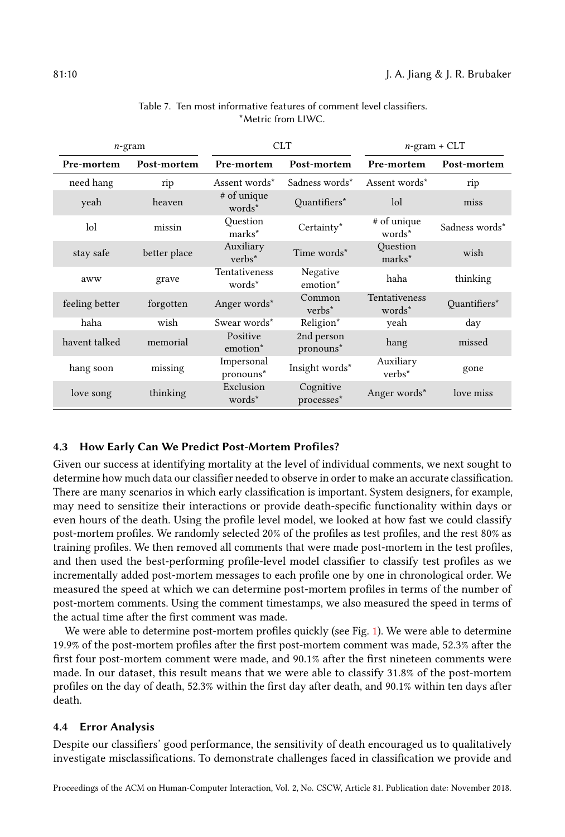<span id="page-9-0"></span>

|                | $n$ -gram    | <b>CLT</b>                          |                         | $n$ -gram + CLT                |                |
|----------------|--------------|-------------------------------------|-------------------------|--------------------------------|----------------|
| Pre-mortem     | Post-mortem  | Post-mortem<br>Pre-mortem           |                         | Pre-mortem                     | Post-mortem    |
| need hang      | rip          | Assent words*                       | Sadness words*          | Assent words*                  | rip            |
| yeah           | heaven       | # of unique<br>words <sup>*</sup>   | Quantifiers*            | 1 <sub>o</sub> 1               | miss           |
| lol            | missin       | Ouestion<br>marks <sup>*</sup>      | Certainty*              | # of unique<br>words*          | Sadness words* |
| stay safe      | better place | Auxiliary<br>verbs <sup>*</sup>     | Time words*             | Ouestion<br>marks <sup>*</sup> | wish           |
| aww            | grave        | Tentativeness<br>words <sup>*</sup> | Negative<br>emotion*    | haha                           | thinking       |
| feeling better | forgotten    | Anger words*                        | Common<br>verbs*        | <b>Tentativeness</b><br>words* | Quantifiers*   |
| haha           | wish         | Swear words*                        | Religion <sup>*</sup>   | yeah                           | day            |
| havent talked  | memorial     | Positive<br>emotion*                | 2nd person<br>pronouns* | hang                           | missed         |
| hang soon      | missing      | Impersonal<br>pronouns*             | Insight words*          | Auxiliary<br>verbs*            | gone           |
| love song      | thinking     | Exclusion<br>words*                 | Cognitive<br>processes* | Anger words*                   | love miss      |

## Table 7. Ten most informative features of comment level classifiers. \*Metric from LIWC.

# 4.3 How Early Can We Predict Post-Mortem Profiles?

Given our success at identifying mortality at the level of individual comments, we next sought to determine how much data our classifier needed to observe in order to make an accurate classification. There are many scenarios in which early classification is important. System designers, for example, may need to sensitize their interactions or provide death-specific functionality within days or even hours of the death. Using the profile level model, we looked at how fast we could classify post-mortem profiles. We randomly selected 20% of the profiles as test profiles, and the rest 80% as training profiles. We then removed all comments that were made post-mortem in the test profiles, and then used the best-performing profile-level model classifier to classify test profiles as we incrementally added post-mortem messages to each profile one by one in chronological order. We measured the speed at which we can determine post-mortem profiles in terms of the number of post-mortem comments. Using the comment timestamps, we also measured the speed in terms of the actual time after the first comment was made.

We were able to determine post-mortem profiles quickly (see Fig. [1\)](#page-10-0). We were able to determine 19.9% of the post-mortem profiles after the first post-mortem comment was made, 52.3% after the first four post-mortem comment were made, and 90.1% after the first nineteen comments were made. In our dataset, this result means that we were able to classify 31.8% of the post-mortem profiles on the day of death, 52.3% within the first day after death, and 90.1% within ten days after death.

# 4.4 Error Analysis

Despite our classifiers' good performance, the sensitivity of death encouraged us to qualitatively investigate misclassifications. To demonstrate challenges faced in classification we provide and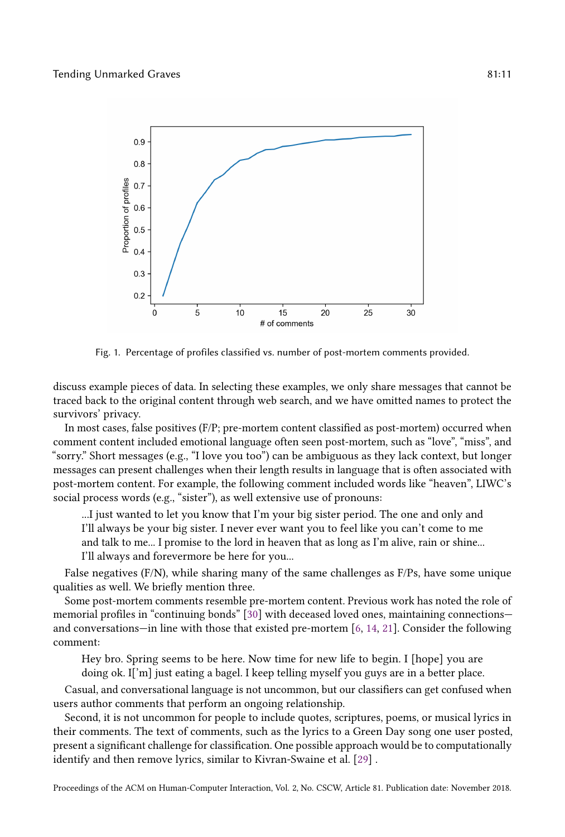<span id="page-10-0"></span>

Fig. 1. Percentage of profiles classified vs. number of post-mortem comments provided.

discuss example pieces of data. In selecting these examples, we only share messages that cannot be traced back to the original content through web search, and we have omitted names to protect the survivors' privacy.

In most cases, false positives (F/P; pre-mortem content classified as post-mortem) occurred when comment content included emotional language often seen post-mortem, such as "love", "miss", and "sorry." Short messages (e.g., "I love you too") can be ambiguous as they lack context, but longer messages can present challenges when their length results in language that is often associated with post-mortem content. For example, the following comment included words like "heaven", LIWC's social process words (e.g., "sister"), as well extensive use of pronouns:

...I just wanted to let you know that I'm your big sister period. The one and only and I'll always be your big sister. I never ever want you to feel like you can't come to me and talk to me... I promise to the lord in heaven that as long as I'm alive, rain or shine... I'll always and forevermore be here for you...

False negatives (F/N), while sharing many of the same challenges as F/Ps, have some unique qualities as well. We briefly mention three.

Some post-mortem comments resemble pre-mortem content. Previous work has noted the role of memorial profiles in "continuing bonds" [\[30\]](#page-17-17) with deceased loved ones, maintaining connections and conversations—in line with those that existed pre-mortem [\[6,](#page-16-1) [14,](#page-16-17) [21\]](#page-17-5). Consider the following comment:

Hey bro. Spring seems to be here. Now time for new life to begin. I [hope] you are doing ok. I['m] just eating a bagel. I keep telling myself you guys are in a better place.

Casual, and conversational language is not uncommon, but our classifiers can get confused when users author comments that perform an ongoing relationship.

Second, it is not uncommon for people to include quotes, scriptures, poems, or musical lyrics in their comments. The text of comments, such as the lyrics to a Green Day song one user posted, present a significant challenge for classification. One possible approach would be to computationally identify and then remove lyrics, similar to Kivran-Swaine et al. [\[29\]](#page-17-18) .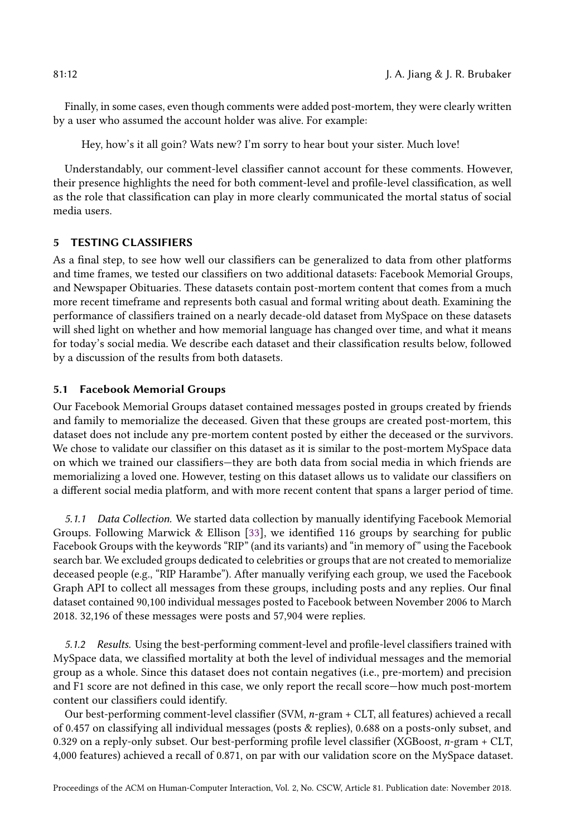Finally, in some cases, even though comments were added post-mortem, they were clearly written by a user who assumed the account holder was alive. For example:

Hey, how's it all goin? Wats new? I'm sorry to hear bout your sister. Much love!

Understandably, our comment-level classifier cannot account for these comments. However, their presence highlights the need for both comment-level and profile-level classification, as well as the role that classification can play in more clearly communicated the mortal status of social media users.

#### 5 TESTING CLASSIFIERS

As a final step, to see how well our classifiers can be generalized to data from other platforms and time frames, we tested our classifiers on two additional datasets: Facebook Memorial Groups, and Newspaper Obituaries. These datasets contain post-mortem content that comes from a much more recent timeframe and represents both casual and formal writing about death. Examining the performance of classifiers trained on a nearly decade-old dataset from MySpace on these datasets will shed light on whether and how memorial language has changed over time, and what it means for today's social media. We describe each dataset and their classification results below, followed by a discussion of the results from both datasets.

## <span id="page-11-0"></span>5.1 Facebook Memorial Groups

Our Facebook Memorial Groups dataset contained messages posted in groups created by friends and family to memorialize the deceased. Given that these groups are created post-mortem, this dataset does not include any pre-mortem content posted by either the deceased or the survivors. We chose to validate our classifier on this dataset as it is similar to the post-mortem MySpace data on which we trained our classifiers—they are both data from social media in which friends are memorializing a loved one. However, testing on this dataset allows us to validate our classifiers on a different social media platform, and with more recent content that spans a larger period of time.

5.1.1 Data Collection. We started data collection by manually identifying Facebook Memorial Groups. Following Marwick & Ellison [\[33\]](#page-17-16), we identified 116 groups by searching for public Facebook Groups with the keywords "RIP" (and its variants) and "in memory of" using the Facebook search bar. We excluded groups dedicated to celebrities or groups that are not created to memorialize deceased people (e.g., "RIP Harambe"). After manually verifying each group, we used the Facebook Graph API to collect all messages from these groups, including posts and any replies. Our final dataset contained 90,100 individual messages posted to Facebook between November 2006 to March 2018. 32,196 of these messages were posts and 57,904 were replies.

5.1.2 Results. Using the best-performing comment-level and profile-level classifiers trained with MySpace data, we classified mortality at both the level of individual messages and the memorial group as a whole. Since this dataset does not contain negatives (i.e., pre-mortem) and precision and F1 score are not defined in this case, we only report the recall score—how much post-mortem content our classifiers could identify.

Our best-performing comment-level classifier (SVM, n-gram + CLT, all features) achieved a recall of 0.457 on classifying all individual messages (posts & replies), 0.688 on a posts-only subset, and 0.329 on a reply-only subset. Our best-performing profile level classifier (XGBoost,  $n$ -gram + CLT, 4,000 features) achieved a recall of 0.871, on par with our validation score on the MySpace dataset.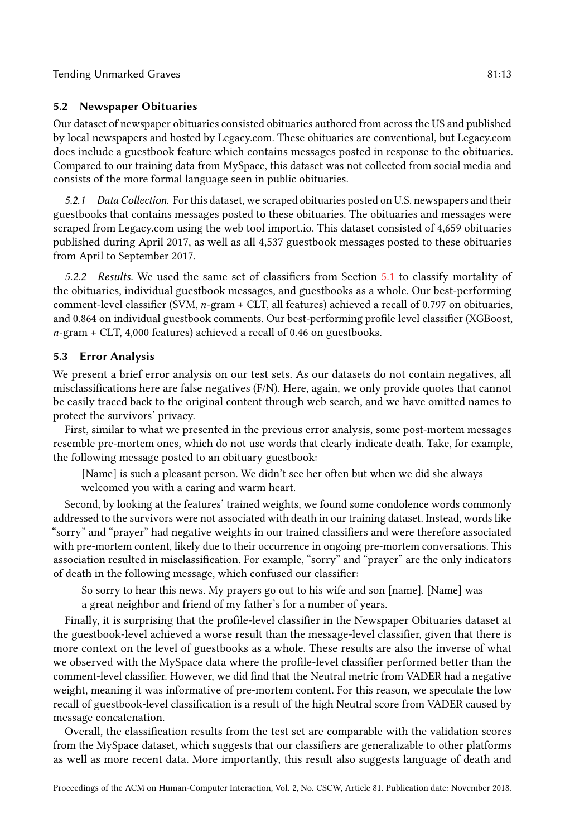# 5.2 Newspaper Obituaries

Our dataset of newspaper obituaries consisted obituaries authored from across the US and published by local newspapers and hosted by Legacy.com. These obituaries are conventional, but Legacy.com does include a guestbook feature which contains messages posted in response to the obituaries. Compared to our training data from MySpace, this dataset was not collected from social media and consists of the more formal language seen in public obituaries.

5.2.1 Data Collection. For this dataset, we scraped obituaries posted on U.S. newspapers and their guestbooks that contains messages posted to these obituaries. The obituaries and messages were scraped from Legacy.com using the web tool import.io. This dataset consisted of 4,659 obituaries published during April 2017, as well as all 4,537 guestbook messages posted to these obituaries from April to September 2017.

5.2.2 Results. We used the same set of classifiers from Section [5.1](#page-11-0) to classify mortality of the obituaries, individual guestbook messages, and guestbooks as a whole. Our best-performing comment-level classifier (SVM, n-gram + CLT, all features) achieved a recall of 0.797 on obituaries, and 0.864 on individual guestbook comments. Our best-performing profile level classifier (XGBoost, n-gram + CLT, 4,000 features) achieved a recall of 0.46 on guestbooks.

# 5.3 Error Analysis

We present a brief error analysis on our test sets. As our datasets do not contain negatives, all misclassifications here are false negatives (F/N). Here, again, we only provide quotes that cannot be easily traced back to the original content through web search, and we have omitted names to protect the survivors' privacy.

First, similar to what we presented in the previous error analysis, some post-mortem messages resemble pre-mortem ones, which do not use words that clearly indicate death. Take, for example, the following message posted to an obituary guestbook:

[Name] is such a pleasant person. We didn't see her often but when we did she always welcomed you with a caring and warm heart.

Second, by looking at the features' trained weights, we found some condolence words commonly addressed to the survivors were not associated with death in our training dataset. Instead, words like "sorry" and "prayer" had negative weights in our trained classifiers and were therefore associated with pre-mortem content, likely due to their occurrence in ongoing pre-mortem conversations. This association resulted in misclassification. For example, "sorry" and "prayer" are the only indicators of death in the following message, which confused our classifier:

So sorry to hear this news. My prayers go out to his wife and son [name]. [Name] was a great neighbor and friend of my father's for a number of years.

Finally, it is surprising that the profile-level classifier in the Newspaper Obituaries dataset at the guestbook-level achieved a worse result than the message-level classifier, given that there is more context on the level of guestbooks as a whole. These results are also the inverse of what we observed with the MySpace data where the profile-level classifier performed better than the comment-level classifier. However, we did find that the Neutral metric from VADER had a negative weight, meaning it was informative of pre-mortem content. For this reason, we speculate the low recall of guestbook-level classification is a result of the high Neutral score from VADER caused by message concatenation.

Overall, the classification results from the test set are comparable with the validation scores from the MySpace dataset, which suggests that our classifiers are generalizable to other platforms as well as more recent data. More importantly, this result also suggests language of death and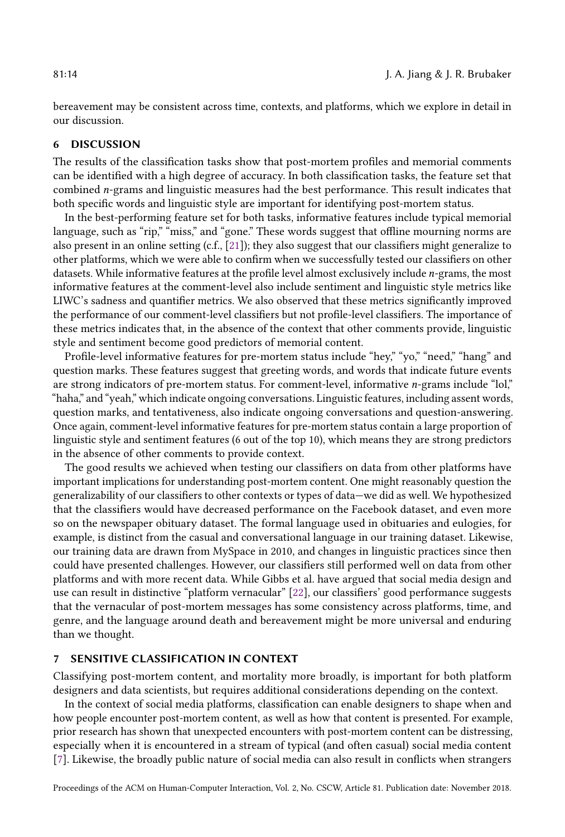bereavement may be consistent across time, contexts, and platforms, which we explore in detail in our discussion.

## 6 DISCUSSION

The results of the classification tasks show that post-mortem profiles and memorial comments can be identified with a high degree of accuracy. In both classification tasks, the feature set that combined n-grams and linguistic measures had the best performance. This result indicates that both specific words and linguistic style are important for identifying post-mortem status.

In the best-performing feature set for both tasks, informative features include typical memorial language, such as "rip," "miss," and "gone." These words suggest that offline mourning norms are also present in an online setting (c.f., [\[21\]](#page-17-5)); they also suggest that our classifiers might generalize to other platforms, which we were able to confirm when we successfully tested our classifiers on other datasets. While informative features at the profile level almost exclusively include n-grams, the most informative features at the comment-level also include sentiment and linguistic style metrics like LIWC's sadness and quantifier metrics. We also observed that these metrics significantly improved the performance of our comment-level classifiers but not profile-level classifiers. The importance of these metrics indicates that, in the absence of the context that other comments provide, linguistic style and sentiment become good predictors of memorial content.

Profile-level informative features for pre-mortem status include "hey," "yo," "need," "hang" and question marks. These features suggest that greeting words, and words that indicate future events are strong indicators of pre-mortem status. For comment-level, informative n-grams include "lol," "haha," and "yeah," which indicate ongoing conversations. Linguistic features, including assent words, question marks, and tentativeness, also indicate ongoing conversations and question-answering. Once again, comment-level informative features for pre-mortem status contain a large proportion of linguistic style and sentiment features (6 out of the top 10), which means they are strong predictors in the absence of other comments to provide context.

The good results we achieved when testing our classifiers on data from other platforms have important implications for understanding post-mortem content. One might reasonably question the generalizability of our classifiers to other contexts or types of data—we did as well. We hypothesized that the classifiers would have decreased performance on the Facebook dataset, and even more so on the newspaper obituary dataset. The formal language used in obituaries and eulogies, for example, is distinct from the casual and conversational language in our training dataset. Likewise, our training data are drawn from MySpace in 2010, and changes in linguistic practices since then could have presented challenges. However, our classifiers still performed well on data from other platforms and with more recent data. While Gibbs et al. have argued that social media design and use can result in distinctive "platform vernacular" [\[22\]](#page-17-19), our classifiers' good performance suggests that the vernacular of post-mortem messages has some consistency across platforms, time, and genre, and the language around death and bereavement might be more universal and enduring than we thought.

# 7 SENSITIVE CLASSIFICATION IN CONTEXT

Classifying post-mortem content, and mortality more broadly, is important for both platform designers and data scientists, but requires additional considerations depending on the context.

In the context of social media platforms, classification can enable designers to shape when and how people encounter post-mortem content, as well as how that content is presented. For example, prior research has shown that unexpected encounters with post-mortem content can be distressing, especially when it is encountered in a stream of typical (and often casual) social media content [\[7\]](#page-16-2). Likewise, the broadly public nature of social media can also result in conflicts when strangers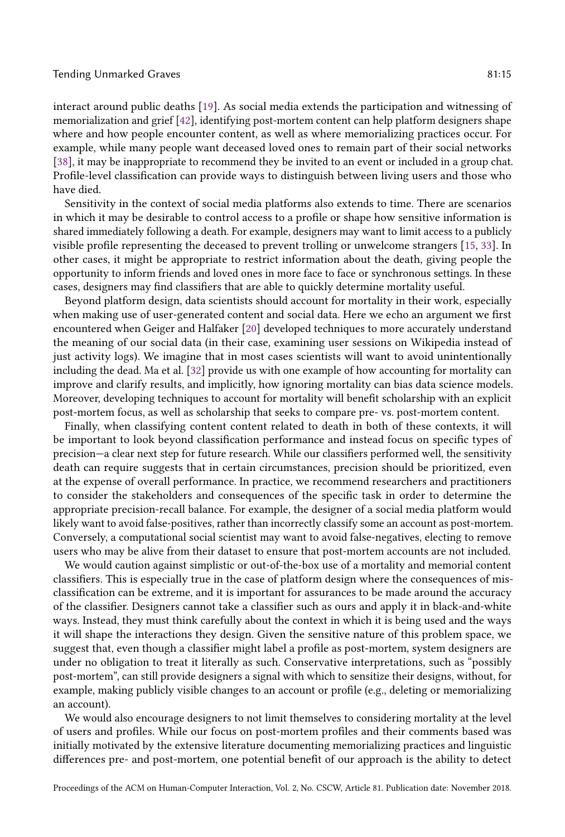#### Tending Unmarked Graves 81:15

interact around public deaths [\[19\]](#page-16-16). As social media extends the participation and witnessing of memorialization and grief [\[42\]](#page-17-0), identifying post-mortem content can help platform designers shape where and how people encounter content, as well as where memorializing practices occur. For example, while many people want deceased loved ones to remain part of their social networks [\[38\]](#page-17-20), it may be inappropriate to recommend they be invited to an event or included in a group chat. Profile-level classification can provide ways to distinguish between living users and those who have died.

Sensitivity in the context of social media platforms also extends to time. There are scenarios in which it may be desirable to control access to a profile or shape how sensitive information is shared immediately following a death. For example, designers may want to limit access to a publicly visible profile representing the deceased to prevent trolling or unwelcome strangers [\[15,](#page-16-18) [33\]](#page-17-16). In other cases, it might be appropriate to restrict information about the death, giving people the opportunity to inform friends and loved ones in more face to face or synchronous settings. In these cases, designers may find classifiers that are able to quickly determine mortality useful.

Beyond platform design, data scientists should account for mortality in their work, especially when making use of user-generated content and social data. Here we echo an argument we first encountered when Geiger and Halfaker [\[20\]](#page-16-19) developed techniques to more accurately understand the meaning of our social data (in their case, examining user sessions on Wikipedia instead of just activity logs). We imagine that in most cases scientists will want to avoid unintentionally including the dead. Ma et al. [\[32\]](#page-17-4) provide us with one example of how accounting for mortality can improve and clarify results, and implicitly, how ignoring mortality can bias data science models. Moreover, developing techniques to account for mortality will benefit scholarship with an explicit post-mortem focus, as well as scholarship that seeks to compare pre- vs. post-mortem content.

Finally, when classifying content content related to death in both of these contexts, it will be important to look beyond classification performance and instead focus on specific types of precision—a clear next step for future research. While our classifiers performed well, the sensitivity death can require suggests that in certain circumstances, precision should be prioritized, even at the expense of overall performance. In practice, we recommend researchers and practitioners to consider the stakeholders and consequences of the specific task in order to determine the appropriate precision-recall balance. For example, the designer of a social media platform would likely want to avoid false-positives, rather than incorrectly classify some an account as post-mortem. Conversely, a computational social scientist may want to avoid false-negatives, electing to remove users who may be alive from their dataset to ensure that post-mortem accounts are not included.

We would caution against simplistic or out-of-the-box use of a mortality and memorial content classifiers. This is especially true in the case of platform design where the consequences of misclassification can be extreme, and it is important for assurances to be made around the accuracy of the classifier. Designers cannot take a classifier such as ours and apply it in black-and-white ways. Instead, they must think carefully about the context in which it is being used and the ways it will shape the interactions they design. Given the sensitive nature of this problem space, we suggest that, even though a classifier might label a profile as post-mortem, system designers are under no obligation to treat it literally as such. Conservative interpretations, such as "possibly post-mortem", can still provide designers a signal with which to sensitize their designs, without, for example, making publicly visible changes to an account or profile (e.g., deleting or memorializing an account).

We would also encourage designers to not limit themselves to considering mortality at the level of users and profiles. While our focus on post-mortem profiles and their comments based was initially motivated by the extensive literature documenting memorializing practices and linguistic differences pre- and post-mortem, one potential benefit of our approach is the ability to detect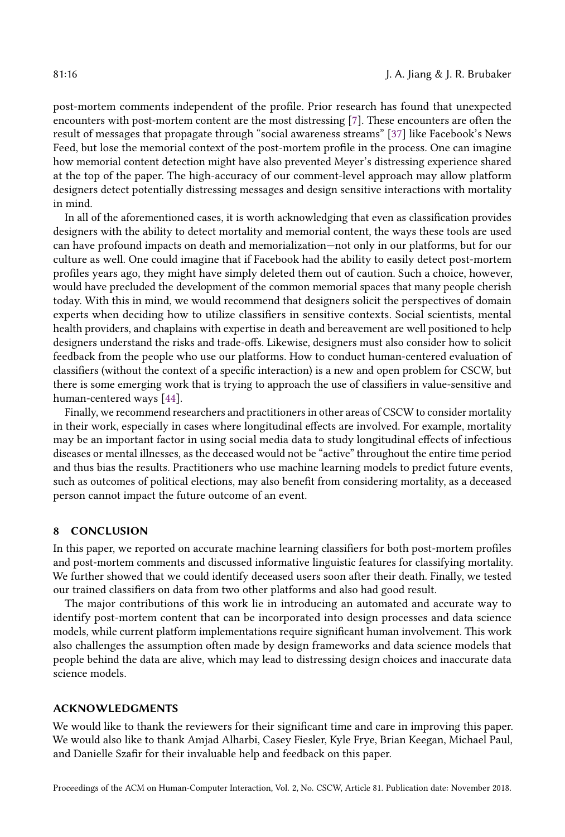post-mortem comments independent of the profile. Prior research has found that unexpected encounters with post-mortem content are the most distressing [\[7\]](#page-16-2). These encounters are often the result of messages that propagate through "social awareness streams" [\[37\]](#page-17-21) like Facebook's News Feed, but lose the memorial context of the post-mortem profile in the process. One can imagine how memorial content detection might have also prevented Meyer's distressing experience shared at the top of the paper. The high-accuracy of our comment-level approach may allow platform designers detect potentially distressing messages and design sensitive interactions with mortality in mind.

In all of the aforementioned cases, it is worth acknowledging that even as classification provides designers with the ability to detect mortality and memorial content, the ways these tools are used can have profound impacts on death and memorialization—not only in our platforms, but for our culture as well. One could imagine that if Facebook had the ability to easily detect post-mortem profiles years ago, they might have simply deleted them out of caution. Such a choice, however, would have precluded the development of the common memorial spaces that many people cherish today. With this in mind, we would recommend that designers solicit the perspectives of domain experts when deciding how to utilize classifiers in sensitive contexts. Social scientists, mental health providers, and chaplains with expertise in death and bereavement are well positioned to help designers understand the risks and trade-offs. Likewise, designers must also consider how to solicit feedback from the people who use our platforms. How to conduct human-centered evaluation of classifiers (without the context of a specific interaction) is a new and open problem for CSCW, but there is some emerging work that is trying to approach the use of classifiers in value-sensitive and human-centered ways [\[44\]](#page-18-2).

Finally, we recommend researchers and practitioners in other areas of CSCW to consider mortality in their work, especially in cases where longitudinal effects are involved. For example, mortality may be an important factor in using social media data to study longitudinal effects of infectious diseases or mental illnesses, as the deceased would not be "active" throughout the entire time period and thus bias the results. Practitioners who use machine learning models to predict future events, such as outcomes of political elections, may also benefit from considering mortality, as a deceased person cannot impact the future outcome of an event.

# 8 CONCLUSION

In this paper, we reported on accurate machine learning classifiers for both post-mortem profiles and post-mortem comments and discussed informative linguistic features for classifying mortality. We further showed that we could identify deceased users soon after their death. Finally, we tested our trained classifiers on data from two other platforms and also had good result.

The major contributions of this work lie in introducing an automated and accurate way to identify post-mortem content that can be incorporated into design processes and data science models, while current platform implementations require significant human involvement. This work also challenges the assumption often made by design frameworks and data science models that people behind the data are alive, which may lead to distressing design choices and inaccurate data science models.

## ACKNOWLEDGMENTS

We would like to thank the reviewers for their significant time and care in improving this paper. We would also like to thank Amjad Alharbi, Casey Fiesler, Kyle Frye, Brian Keegan, Michael Paul, and Danielle Szafir for their invaluable help and feedback on this paper.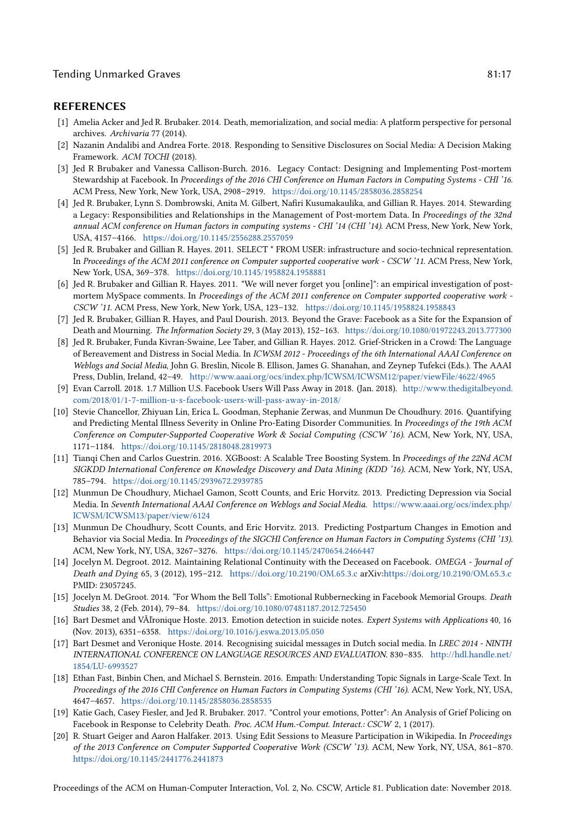#### Tending Unmarked Graves 81:17

### REFERENCES

- <span id="page-16-8"></span>[1] Amelia Acker and Jed R. Brubaker. 2014. Death, memorialization, and social media: A platform perspective for personal archives. Archivaria 77 (2014).
- <span id="page-16-4"></span>[2] Nazanin Andalibi and Andrea Forte. 2018. Responding to Sensitive Disclosures on Social Media: A Decision Making Framework. ACM TOCHI (2018).
- <span id="page-16-3"></span>[3] Jed R Brubaker and Vanessa Callison-Burch. 2016. Legacy Contact: Designing and Implementing Post-mortem Stewardship at Facebook. In Proceedings of the 2016 CHI Conference on Human Factors in Computing Systems - CHI '16. ACM Press, New York, New York, USA, 2908–2919. <https://doi.org/10.1145/2858036.2858254>
- <span id="page-16-9"></span>[4] Jed R. Brubaker, Lynn S. Dombrowski, Anita M. Gilbert, Nafiri Kusumakaulika, and Gillian R. Hayes. 2014. Stewarding a Legacy: Responsibilities and Relationships in the Management of Post-mortem Data. In Proceedings of the 32nd annual ACM conference on Human factors in computing systems - CHI '14 (CHI '14). ACM Press, New York, New York, USA, 4157–4166. <https://doi.org/10.1145/2556288.2557059>
- <span id="page-16-10"></span>[5] Jed R. Brubaker and Gillian R. Hayes. 2011. SELECT \* FROM USER: infrastructure and socio-technical representation. In Proceedings of the ACM 2011 conference on Computer supported cooperative work - CSCW '11. ACM Press, New York, New York, USA, 369–378. <https://doi.org/10.1145/1958824.1958881>
- <span id="page-16-1"></span>[6] Jed R. Brubaker and Gillian R. Hayes. 2011. "We will never forget you [online]": an empirical investigation of postmortem MySpace comments. In Proceedings of the ACM 2011 conference on Computer supported cooperative work - CSCW '11. ACM Press, New York, New York, USA, 123–132. <https://doi.org/10.1145/1958824.1958843>
- <span id="page-16-2"></span>[7] Jed R. Brubaker, Gillian R. Hayes, and Paul Dourish. 2013. Beyond the Grave: Facebook as a Site for the Expansion of Death and Mourning. The Information Society 29, 3 (May 2013), 152–163. <https://doi.org/10.1080/01972243.2013.777300>
- <span id="page-16-13"></span>[8] Jed R. Brubaker, Funda Kivran-Swaine, Lee Taber, and Gillian R. Hayes. 2012. Grief-Stricken in a Crowd: The Language of Bereavement and Distress in Social Media. In ICWSM 2012 - Proceedings of the 6th International AAAI Conference on Weblogs and Social Media, John G. Breslin, Nicole B. Ellison, James G. Shanahan, and Zeynep Tufekci (Eds.). The AAAI Press, Dublin, Ireland, 42–49. <http://www.aaai.org/ocs/index.php/ICWSM/ICWSM12/paper/viewFile/4622/4965>
- <span id="page-16-0"></span>[9] Evan Carroll. 2018. 1.7 Million U.S. Facebook Users Will Pass Away in 2018. (Jan. 2018). [http://www.thedigitalbeyond.](http://www.thedigitalbeyond.com/2018/01/1-7-million-u-s-facebook-users-will-pass-away-in-2018/) [com/2018/01/1-7-million-u-s-facebook-users-will-pass-away-in-2018/](http://www.thedigitalbeyond.com/2018/01/1-7-million-u-s-facebook-users-will-pass-away-in-2018/)
- <span id="page-16-7"></span>[10] Stevie Chancellor, Zhiyuan Lin, Erica L. Goodman, Stephanie Zerwas, and Munmun De Choudhury. 2016. Quantifying and Predicting Mental Illness Severity in Online Pro-Eating Disorder Communities. In Proceedings of the 19th ACM Conference on Computer-Supported Cooperative Work & Social Computing (CSCW '16). ACM, New York, NY, USA, 1171–1184. <https://doi.org/10.1145/2818048.2819973>
- <span id="page-16-14"></span>[11] Tianqi Chen and Carlos Guestrin. 2016. XGBoost: A Scalable Tree Boosting System. In Proceedings of the 22Nd ACM SIGKDD International Conference on Knowledge Discovery and Data Mining (KDD '16). ACM, New York, NY, USA, 785–794. <https://doi.org/10.1145/2939672.2939785>
- <span id="page-16-5"></span>[12] Munmun De Choudhury, Michael Gamon, Scott Counts, and Eric Horvitz. 2013. Predicting Depression via Social Media. In Seventh International AAAI Conference on Weblogs and Social Media. [https://www.aaai.org/ocs/index.php/](https://www.aaai.org/ocs/index.php/ICWSM/ICWSM13/paper/view/6124) [ICWSM/ICWSM13/paper/view/6124](https://www.aaai.org/ocs/index.php/ICWSM/ICWSM13/paper/view/6124)
- <span id="page-16-6"></span>[13] Munmun De Choudhury, Scott Counts, and Eric Horvitz. 2013. Predicting Postpartum Changes in Emotion and Behavior via Social Media. In Proceedings of the SIGCHI Conference on Human Factors in Computing Systems (CHI '13). ACM, New York, NY, USA, 3267–3276. <https://doi.org/10.1145/2470654.2466447>
- <span id="page-16-17"></span>[14] Jocelyn M. Degroot. 2012. Maintaining Relational Continuity with the Deceased on Facebook. OMEGA - Journal of Death and Dying 65, 3 (2012), 195–212. <https://doi.org/10.2190/OM.65.3.c> arXiv[:https://doi.org/10.2190/OM.65.3.c](http://arxiv.org/abs/https://doi.org/10.2190/OM.65.3.c) PMID: 23057245.
- <span id="page-16-18"></span>[15] Jocelyn M. DeGroot. 2014. "For Whom the Bell Tolls": Emotional Rubbernecking in Facebook Memorial Groups. Death Studies 38, 2 (Feb. 2014), 79–84. <https://doi.org/10.1080/07481187.2012.725450>
- <span id="page-16-11"></span>[16] Bart Desmet and VÃľronique Hoste. 2013. Emotion detection in suicide notes. Expert Systems with Applications 40, 16 (Nov. 2013), 6351–6358. <https://doi.org/10.1016/j.eswa.2013.05.050>
- <span id="page-16-12"></span>[17] Bart Desmet and Veronique Hoste. 2014. Recognising suicidal messages in Dutch social media. In LREC 2014 - NINTH INTERNATIONAL CONFERENCE ON LANGUAGE RESOURCES AND EVALUATION. 830–835. [http://hdl.handle.net/](http://hdl.handle.net/1854/LU-6993527) [1854/LU-6993527](http://hdl.handle.net/1854/LU-6993527)
- <span id="page-16-15"></span>[18] Ethan Fast, Binbin Chen, and Michael S. Bernstein. 2016. Empath: Understanding Topic Signals in Large-Scale Text. In Proceedings of the 2016 CHI Conference on Human Factors in Computing Systems (CHI '16). ACM, New York, NY, USA, 4647–4657. <https://doi.org/10.1145/2858036.2858535>
- <span id="page-16-16"></span>[19] Katie Gach, Casey Fiesler, and Jed R. Brubaker. 2017. "Control your emotions, Potter": An Analysis of Grief Policing on Facebook in Response to Celebrity Death. Proc. ACM Hum.-Comput. Interact.: CSCW 2, 1 (2017).
- <span id="page-16-19"></span>[20] R. Stuart Geiger and Aaron Halfaker. 2013. Using Edit Sessions to Measure Participation in Wikipedia. In Proceedings of the 2013 Conference on Computer Supported Cooperative Work (CSCW '13). ACM, New York, NY, USA, 861–870. <https://doi.org/10.1145/2441776.2441873>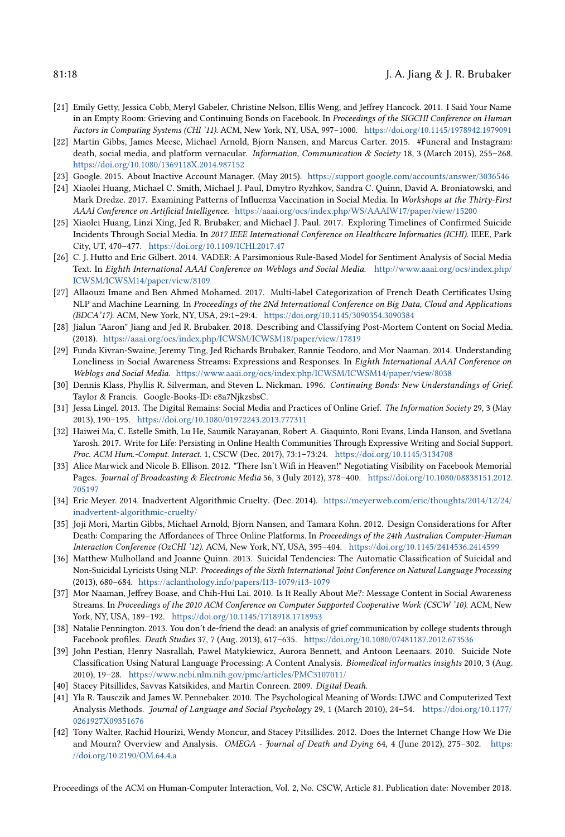## 81:18 J. A. Jiang & J. R. Brubaker

- <span id="page-17-5"></span>[21] Emily Getty, Jessica Cobb, Meryl Gabeler, Christine Nelson, Ellis Weng, and Jeffrey Hancock. 2011. I Said Your Name in an Empty Room: Grieving and Continuing Bonds on Facebook. In Proceedings of the SIGCHI Conference on Human Factors in Computing Systems (CHI '11). ACM, New York, NY, USA, 997–1000. <https://doi.org/10.1145/1978942.1979091>
- <span id="page-17-19"></span>[22] Martin Gibbs, James Meese, Michael Arnold, Bjorn Nansen, and Marcus Carter. 2015. #Funeral and Instagram: death, social media, and platform vernacular. Information, Communication & Society 18, 3 (March 2015), 255-268. <https://doi.org/10.1080/1369118X.2014.987152>
- <span id="page-17-3"></span>[23] Google. 2015. About Inactive Account Manager. (May 2015). <https://support.google.com/accounts/answer/3036546>
- <span id="page-17-2"></span>[24] Xiaolei Huang, Michael C. Smith, Michael J. Paul, Dmytro Ryzhkov, Sandra C. Quinn, David A. Broniatowski, and Mark Dredze. 2017. Examining Patterns of Influenza Vaccination in Social Media. In Workshops at the Thirty-First AAAI Conference on Artificial Intelligence. <https://aaai.org/ocs/index.php/WS/AAAIW17/paper/view/15200>
- <span id="page-17-10"></span>[25] Xiaolei Huang, Linzi Xing, Jed R. Brubaker, and Michael J. Paul. 2017. Exploring Timelines of Confirmed Suicide Incidents Through Social Media. In 2017 IEEE International Conference on Healthcare Informatics (ICHI). IEEE, Park City, UT, 470–477. <https://doi.org/10.1109/ICHI.2017.47>
- <span id="page-17-15"></span>[26] C. J. Hutto and Eric Gilbert. 2014. VADER: A Parsimonious Rule-Based Model for Sentiment Analysis of Social Media Text. In Eighth International AAAI Conference on Weblogs and Social Media. [http://www.aaai.org/ocs/index.php/](http://www.aaai.org/ocs/index.php/ICWSM/ICWSM14/paper/view/8109) [ICWSM/ICWSM14/paper/view/8109](http://www.aaai.org/ocs/index.php/ICWSM/ICWSM14/paper/view/8109)
- <span id="page-17-9"></span>[27] Allaouzi Imane and Ben Ahmed Mohamed. 2017. Multi-label Categorization of French Death Certificates Using NLP and Machine Learning. In Proceedings of the 2Nd International Conference on Big Data, Cloud and Applications (BDCA'17). ACM, New York, NY, USA, 29:1–29:4. <https://doi.org/10.1145/3090354.3090384>
- <span id="page-17-14"></span>[28] Jialun "Aaron" Jiang and Jed R. Brubaker. 2018. Describing and Classifying Post-Mortem Content on Social Media. (2018). <https://aaai.org/ocs/index.php/ICWSM/ICWSM18/paper/view/17819>
- <span id="page-17-18"></span>[29] Funda Kivran-Swaine, Jeremy Ting, Jed Richards Brubaker, Rannie Teodoro, and Mor Naaman. 2014. Understanding Loneliness in Social Awareness Streams: Expressions and Responses. In Eighth International AAAI Conference on Weblogs and Social Media. <https://www.aaai.org/ocs/index.php/ICWSM/ICWSM14/paper/view/8038>
- <span id="page-17-17"></span>[30] Dennis Klass, Phyllis R. Silverman, and Steven L. Nickman. 1996. Continuing Bonds: New Understandings of Grief. Taylor & Francis. Google-Books-ID: e8a7NjkzsbsC.
- <span id="page-17-6"></span>[31] Jessa Lingel. 2013. The Digital Remains: Social Media and Practices of Online Grief. The Information Society 29, 3 (May 2013), 190–195. <https://doi.org/10.1080/01972243.2013.777311>
- <span id="page-17-4"></span>[32] Haiwei Ma, C. Estelle Smith, Lu He, Saumik Narayanan, Robert A. Giaquinto, Roni Evans, Linda Hanson, and Svetlana Yarosh. 2017. Write for Life: Persisting in Online Health Communities Through Expressive Writing and Social Support. Proc. ACM Hum.-Comput. Interact. 1, CSCW (Dec. 2017), 73:1–73:24. <https://doi.org/10.1145/3134708>
- <span id="page-17-16"></span>[33] Alice Marwick and Nicole B. Ellison. 2012. "There Isn't Wifi in Heaven!" Negotiating Visibility on Facebook Memorial Pages. Journal of Broadcasting & Electronic Media 56, 3 (July 2012), 378–400. [https://doi.org/10.1080/08838151.2012.](https://doi.org/10.1080/08838151.2012.705197) [705197](https://doi.org/10.1080/08838151.2012.705197)
- <span id="page-17-1"></span>[34] Eric Meyer. 2014. Inadvertent Algorithmic Cruelty. (Dec. 2014). [https://meyerweb.com/eric/thoughts/2014/12/24/](https://meyerweb.com/eric/thoughts/2014/12/24/inadvertent-algorithmic-cruelty/) [inadvertent-algorithmic-cruelty/](https://meyerweb.com/eric/thoughts/2014/12/24/inadvertent-algorithmic-cruelty/)
- <span id="page-17-7"></span>[35] Joji Mori, Martin Gibbs, Michael Arnold, Bjorn Nansen, and Tamara Kohn. 2012. Design Considerations for After Death: Comparing the Affordances of Three Online Platforms. In Proceedings of the 24th Australian Computer-Human Interaction Conference (OzCHI '12). ACM, New York, NY, USA, 395–404. <https://doi.org/10.1145/2414536.2414599>
- <span id="page-17-11"></span>[36] Matthew Mulholland and Joanne Quinn. 2013. Suicidal Tendencies: The Automatic Classification of Suicidal and Non-Suicidal Lyricists Using NLP. Proceedings of the Sixth International Joint Conference on Natural Language Processing (2013), 680–684. <https://aclanthology.info/papers/I13-1079/i13-1079>
- <span id="page-17-21"></span>[37] Mor Naaman, Jeffrey Boase, and Chih-Hui Lai. 2010. Is It Really About Me?: Message Content in Social Awareness Streams. In Proceedings of the 2010 ACM Conference on Computer Supported Cooperative Work (CSCW '10). ACM, New York, NY, USA, 189–192. <https://doi.org/10.1145/1718918.1718953>
- <span id="page-17-20"></span>[38] Natalie Pennington. 2013. You don't de-friend the dead: an analysis of grief communication by college students through Facebook profiles. Death Studies 37, 7 (Aug. 2013), 617–635. <https://doi.org/10.1080/07481187.2012.673536>
- <span id="page-17-12"></span>[39] John Pestian, Henry Nasrallah, Pawel Matykiewicz, Aurora Bennett, and Antoon Leenaars. 2010. Suicide Note Classification Using Natural Language Processing: A Content Analysis. Biomedical informatics insights 2010, 3 (Aug. 2010), 19–28. <https://www.ncbi.nlm.nih.gov/pmc/articles/PMC3107011/>
- <span id="page-17-8"></span>[40] Stacey Pitsillides, Savvas Katsikides, and Martin Conreen. 2009. Digital Death.
- <span id="page-17-13"></span>[41] Yla R. Tausczik and James W. Pennebaker. 2010. The Psychological Meaning of Words: LIWC and Computerized Text Analysis Methods. Journal of Language and Social Psychology 29, 1 (March 2010), 24–54. [https://doi.org/10.1177/](https://doi.org/10.1177/0261927X09351676) [0261927X09351676](https://doi.org/10.1177/0261927X09351676)
- <span id="page-17-0"></span>[42] Tony Walter, Rachid Hourizi, Wendy Moncur, and Stacey Pitsillides. 2012. Does the Internet Change How We Die and Mourn? Overview and Analysis. OMEGA - Journal of Death and Dying 64, 4 (June 2012), 275-302. [https:](https://doi.org/10.2190/OM.64.4.a) [//doi.org/10.2190/OM.64.4.a](https://doi.org/10.2190/OM.64.4.a)